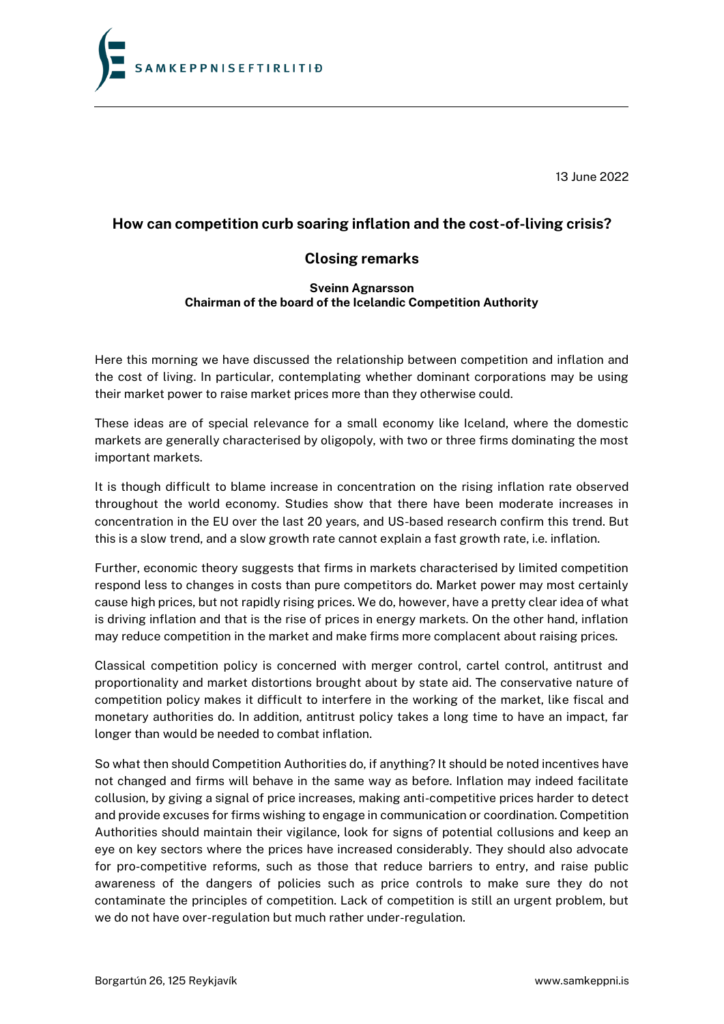

13 June 2022

## **How can competition curb soaring inflation and the cost-of-living crisis?**

## **Closing remarks**

## **Sveinn Agnarsson Chairman of the board of the Icelandic Competition Authority**

Here this morning we have discussed the relationship between competition and inflation and the cost of living. In particular, contemplating whether dominant corporations may be using their market power to raise market prices more than they otherwise could.

These ideas are of special relevance for a small economy like Iceland, where the domestic markets are generally characterised by oligopoly, with two or three firms dominating the most important markets.

It is though difficult to blame increase in concentration on the rising inflation rate observed throughout the world economy. Studies show that there have been moderate increases in concentration in the EU over the last 20 years, and US-based research confirm this trend. But this is a slow trend, and a slow growth rate cannot explain a fast growth rate, i.e. inflation.

Further, economic theory suggests that firms in markets characterised by limited competition respond less to changes in costs than pure competitors do. Market power may most certainly cause high prices, but not rapidly rising prices. We do, however, have a pretty clear idea of what is driving inflation and that is the rise of prices in energy markets. On the other hand, inflation may reduce competition in the market and make firms more complacent about raising prices.

Classical competition policy is concerned with merger control, cartel control, antitrust and proportionality and market distortions brought about by state aid. The conservative nature of competition policy makes it difficult to interfere in the working of the market, like fiscal and monetary authorities do. In addition, antitrust policy takes a long time to have an impact, far longer than would be needed to combat inflation.

So what then should Competition Authorities do, if anything? It should be noted incentives have not changed and firms will behave in the same way as before. Inflation may indeed facilitate collusion, by giving a signal of price increases, making anti-competitive prices harder to detect and provide excuses for firms wishing to engage in communication or coordination. Competition Authorities should maintain their vigilance, look for signs of potential collusions and keep an eye on key sectors where the prices have increased considerably. They should also advocate for pro-competitive reforms, such as those that reduce barriers to entry, and raise public awareness of the dangers of policies such as price controls to make sure they do not contaminate the principles of competition. Lack of competition is still an urgent problem, but we do not have over-regulation but much rather under-regulation.